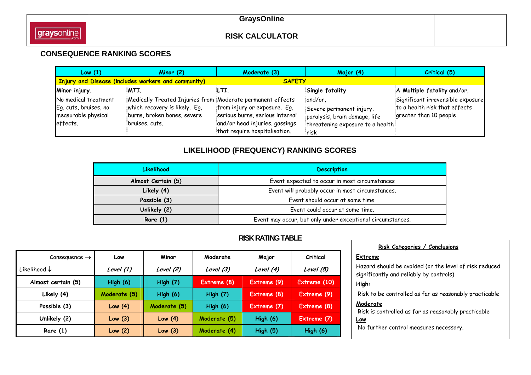## **CONSEQUENCE RANKING SCORES**

| Low(1)                                                                           | Minor $(2)$                                                                                                                                  | Moderate (3)                                                                                                                       | Major (4)                                                                                                        | Critical (5)                                                                                 |
|----------------------------------------------------------------------------------|----------------------------------------------------------------------------------------------------------------------------------------------|------------------------------------------------------------------------------------------------------------------------------------|------------------------------------------------------------------------------------------------------------------|----------------------------------------------------------------------------------------------|
|                                                                                  | <b>Injury and Disease (includes workers and community)</b>                                                                                   | <b>SAFETY</b>                                                                                                                      |                                                                                                                  |                                                                                              |
| Minor injury.                                                                    | MTI.                                                                                                                                         | LTI.                                                                                                                               | Single fatality                                                                                                  | A Multiple fatality and/or,                                                                  |
| No medical treatment<br>Eq, cuts, bruises, no<br>measurable physical<br>effects. | Medically Treated Injuries from Moderate permanent effects<br>which recovery is likely. Eq.<br>burns, broken bones, severe<br>bruises, cuts. | from injury or exposure. Eq,<br>serious burns, serious internal<br>and/or head injuries, gassings<br>that require hospitalisation. | and/or,<br>Severe permanent injury,<br>paralysis, brain damage, life<br>threatening exposure to a health<br>risk | Significant irreversible exposure<br>to a health risk that effects<br>greater than 10 people |

# **LIKELIHOOD (FREQUENCY) RANKING SCORES**

| <b>Likelihood</b>  | <b>Description</b>                                         |  |  |  |
|--------------------|------------------------------------------------------------|--|--|--|
| Almost Certain (5) | Event expected to occur in most circumstances              |  |  |  |
| Likely (4)         | Event will probably occur in most circumstances.           |  |  |  |
| Possible (3)       | Event should occur at some time.                           |  |  |  |
| Unlikely (2)       | Event could occur at some time.                            |  |  |  |
| Rare $(1)$         | Event may occur, but only under exceptional circumstances. |  |  |  |

## **RISK RATING TABLE**

| Consequence $\rightarrow$ | Low             | Minor        | Moderate        | Major       | Critical     |
|---------------------------|-----------------|--------------|-----------------|-------------|--------------|
| Likelihood $\downarrow$   | Level (1)       | Level (2)    | Level (3)       | Level (4)   | Level (5)    |
| Almost certain (5)        | <b>High (6)</b> | High $(7)$   | Extreme (8)     | Extreme (9) | Extreme (10) |
| Likely (4)                | Moderate (5)    | High $(6)$   | <b>High (7)</b> | Extreme (8) | Extreme (9)  |
| Possible (3)              | Low(4)          | Moderate (5) | <b>High (6)</b> | Extreme (7) | Extreme (8)  |
| Unlikely (2)              | Low(3)          | Low(4)       | Moderate (5)    | High $(6)$  | Extreme (7)  |
| Rare $(1)$                | Low(2)          | Low $(3)$    | Moderate (4)    | High(5)     | High $(6)$   |

| Risk Categories / Conclusions                                                                     |
|---------------------------------------------------------------------------------------------------|
| Extreme                                                                                           |
| Hazard should be avoided (or the level of risk reduced<br>significantly and reliably by controls) |
| High:                                                                                             |
| Risk to be controlled as far as reasonably practicable                                            |
| Moderate                                                                                          |
| Risk is controlled as far as reasonably practicable                                               |
| Low                                                                                               |
| No further control measures necessary.                                                            |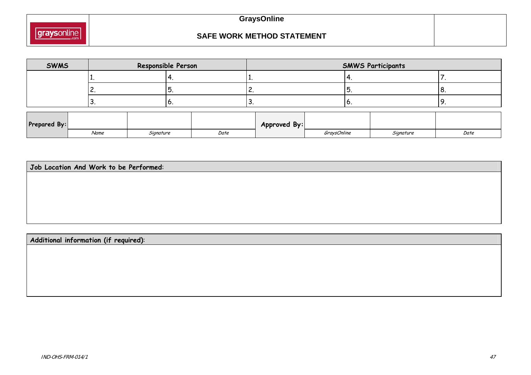

### **SAFE WORK METHOD STATEMENT**

| <b>SWMS</b>  |      | Responsible Person |      |               | <b>SMWS Participants</b> |           |      |  |  |  |  |
|--------------|------|--------------------|------|---------------|--------------------------|-----------|------|--|--|--|--|
|              |      |                    |      |               |                          |           |      |  |  |  |  |
|              | ъ.   |                    |      | ◡<br><u>.</u> |                          |           | ο.   |  |  |  |  |
|              | J.   | υ.                 | J.   |               | ∣∪                       |           | ᄀ.   |  |  |  |  |
| Prepared By: |      |                    |      | Approved By:  |                          |           |      |  |  |  |  |
|              | Name | Signature          | Date |               | GraysOnline              | Signature | Date |  |  |  |  |

**Job Location And Work to be Performed**:

**Additional information (if required)**: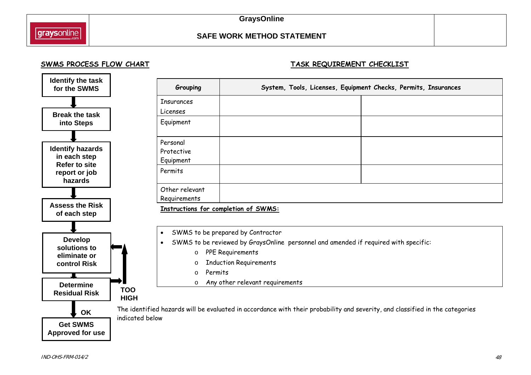## **SAFE WORK METHOD STATEMENT**

#### SWMS PROCESS FLOW CHART **TASK REQUIREMENT CHECKLIST**



| Grouping          | System, Tools, Licenses, Equipment Checks, Permits, Insurances |  |  |  |  |  |  |
|-------------------|----------------------------------------------------------------|--|--|--|--|--|--|
| <b>Insurances</b> |                                                                |  |  |  |  |  |  |
| Licenses          |                                                                |  |  |  |  |  |  |
| Equipment         |                                                                |  |  |  |  |  |  |
| Personal          |                                                                |  |  |  |  |  |  |
| Protective        |                                                                |  |  |  |  |  |  |
| Equipment         |                                                                |  |  |  |  |  |  |
| Permits           |                                                                |  |  |  |  |  |  |
| Other relevant    |                                                                |  |  |  |  |  |  |
| Requirements      |                                                                |  |  |  |  |  |  |
|                   | Instructions for completion of SWMS:                           |  |  |  |  |  |  |

- $\bullet$ SWMS to be prepared by Contractor
- $\bullet$  SWMS to be reviewed by GraysOnline personnel and amended if required with specific:
	- o PPE Requirements
	- o Induction Requirements
	- oPermits
	- o Any other relevant requirements

The identified hazards will be evaluated in accordance with their probability and severity, and classified in the categories indicated below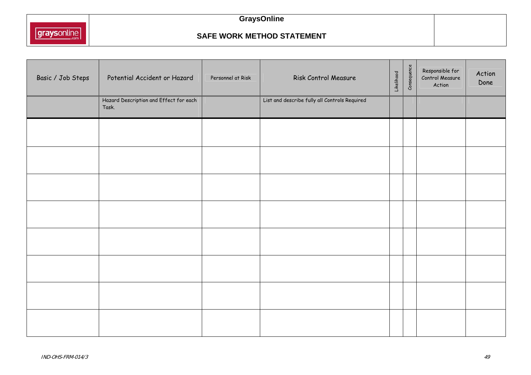

# **GraysOnline**

#### **SAFE WORK METHOD STATEMENT**

| Basic / Job Steps | Potential Accident or Hazard                    | Personnel at Risk | Risk Control Measure                          | Likelihood | Consequence | Responsible for<br>Control Measure<br>Action | Action<br>Done |
|-------------------|-------------------------------------------------|-------------------|-----------------------------------------------|------------|-------------|----------------------------------------------|----------------|
|                   | Hazard Description and Effect for each<br>Task. |                   | List and describe fully all Controls Required |            |             |                                              |                |
|                   |                                                 |                   |                                               |            |             |                                              |                |
|                   |                                                 |                   |                                               |            |             |                                              |                |
|                   |                                                 |                   |                                               |            |             |                                              |                |
|                   |                                                 |                   |                                               |            |             |                                              |                |
|                   |                                                 |                   |                                               |            |             |                                              |                |
|                   |                                                 |                   |                                               |            |             |                                              |                |
|                   |                                                 |                   |                                               |            |             |                                              |                |
|                   |                                                 |                   |                                               |            |             |                                              |                |